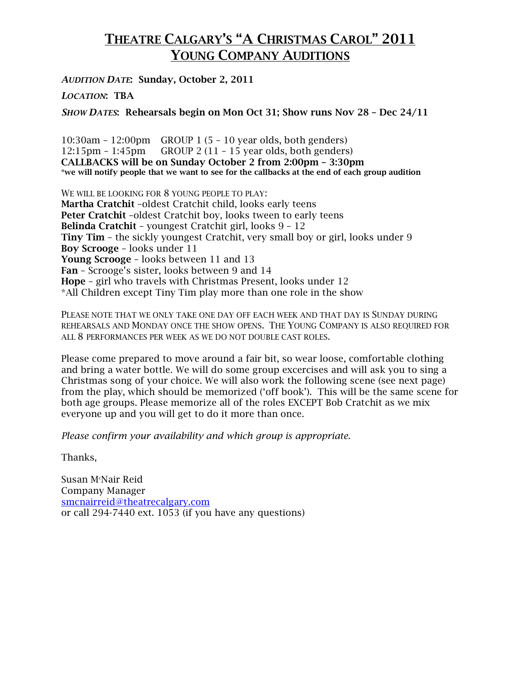## THEATRE CALGARY'S "A CHRISTMAS CAROL" 2011 YOUNG COMPANY AUDITIONS

*AUDITION DATE*: Sunday, October 2, 2011

*LOCATION*: TBA

*SHOW DATES*: Rehearsals begin on Mon Oct 31; Show runs Nov 28 – Dec 24/11

10:30am – 12:00pm GROUP 1 (5 – 10 year olds, both genders) 12:15pm – 1:45pm GROUP 2 (11 – 15 year olds, both genders) CALLBACKS will be on Sunday October 2 from 2:00pm – 3:30pm \*we will notify people that we want to see for the callbacks at the end of each group audition

WE WILL BE LOOKING FOR 8 YOUNG PEOPLE TO PLAY: Martha Cratchit –oldest Cratchit child, looks early teens Peter Cratchit -oldest Cratchit boy, looks tween to early teens Belinda Cratchit – youngest Cratchit girl, looks 9 – 12 Tiny Tim – the sickly youngest Cratchit, very small boy or girl, looks under 9 Boy Scrooge – looks under 11 Young Scrooge – looks between 11 and 13 Fan – Scrooge's sister, looks between 9 and 14 Hope – girl who travels with Christmas Present, looks under 12 \*All Children except Tiny Tim play more than one role in the show

PLEASE NOTE THAT WE ONLY TAKE ONE DAY OFF EACH WEEK AND THAT DAY IS SUNDAY DURING REHEARSALS AND MONDAY ONCE THE SHOW OPENS. THE YOUNG COMPANY IS ALSO REQUIRED FOR ALL 8 PERFORMANCES PER WEEK AS WE DO NOT DOUBLE CAST ROLES.

Please come prepared to move around a fair bit, so wear loose, comfortable clothing and bring a water bottle. We will do some group excercises and will ask you to sing a Christmas song of your choice. We will also work the following scene (see next page) from the play, which should be memorized ('off book'). This will be the same scene for both age groups. Please memorize all of the roles EXCEPT Bob Cratchit as we mix everyone up and you will get to do it more than once.

*Please confirm your availability and which group is appropriate.*

Thanks,

Susan M<sup>e</sup>Nair Reid Company Manager smcnairreid@theatrecalgary.com or call 294-7440 ext. 1053 (if you have any questions)